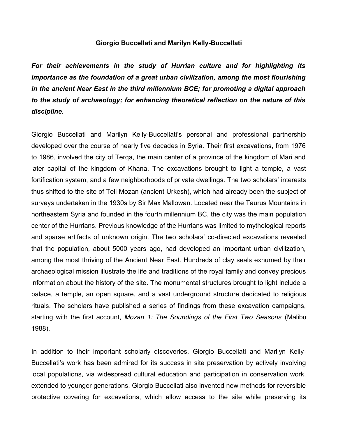## **Giorgio Buccellati and Marilyn Kelly-Buccellati**

*For their achievements in the study of Hurrian culture and for highlighting its importance as the foundation of a great urban civilization, among the most flourishing in the ancient Near East in the third millennium BCE; for promoting a digital approach to the study of archaeology; for enhancing theoretical reflection on the nature of this discipline.*

Giorgio Buccellati and Marilyn Kelly-Buccellati's personal and professional partnership developed over the course of nearly five decades in Syria. Their first excavations, from 1976 to 1986, involved the city of Terqa, the main center of a province of the kingdom of Mari and later capital of the kingdom of Khana. The excavations brought to light a temple, a vast fortification system, and a few neighborhoods of private dwellings. The two scholars' interests thus shifted to the site of Tell Mozan (ancient Urkesh), which had already been the subject of surveys undertaken in the 1930s by Sir Max Mallowan. Located near the Taurus Mountains in northeastern Syria and founded in the fourth millennium BC, the city was the main population center of the Hurrians. Previous knowledge of the Hurrians was limited to mythological reports and sparse artifacts of unknown origin. The two scholars' co-directed excavations revealed that the population, about 5000 years ago, had developed an important urban civilization, among the most thriving of the Ancient Near East. Hundreds of clay seals exhumed by their archaeological mission illustrate the life and traditions of the royal family and convey precious information about the history of the site. The monumental structures brought to light include a palace, a temple, an open square, and a vast underground structure dedicated to religious rituals. The scholars have published a series of findings from these excavation campaigns, starting with the first account, *Mozan 1: The Soundings of the First Two Seasons* (Malibu 1988).

In addition to their important scholarly discoveries, Giorgio Buccellati and Marilyn Kelly-Buccellati's work has been admired for its success in site preservation by actively involving local populations, via widespread cultural education and participation in conservation work, extended to younger generations. Giorgio Buccellati also invented new methods for reversible protective covering for excavations, which allow access to the site while preserving its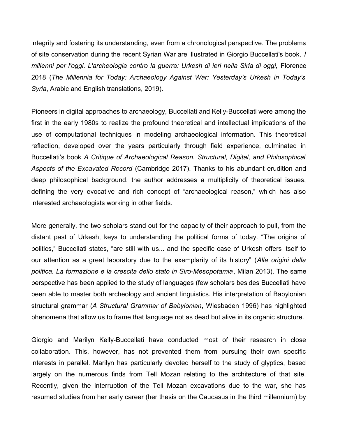integrity and fostering its understanding, even from a chronological perspective. The problems of site conservation during the recent Syrian War are illustrated in Giorgio Buccellati's book, *I millenni per l'oggi. L'archeologia contro la guerra: Urkesh di ieri nella Siria di oggi,* Florence 2018 (*The Millennia for Today: Archaeology Against War: Yesterday's Urkesh in Today's Syria*, Arabic and English translations, 2019).

Pioneers in digital approaches to archaeology, Buccellati and Kelly-Buccellati were among the first in the early 1980s to realize the profound theoretical and intellectual implications of the use of computational techniques in modeling archaeological information. This theoretical reflection, developed over the years particularly through field experience, culminated in Buccellati's book *A Critique of Archaeological Reason. Structural, Digital, and Philosophical Aspects of the Excavated Record* (Cambridge 2017). Thanks to his abundant erudition and deep philosophical background, the author addresses a multiplicity of theoretical issues, defining the very evocative and rich concept of "archaeological reason," which has also interested archaeologists working in other fields.

More generally, the two scholars stand out for the capacity of their approach to pull, from the distant past of Urkesh, keys to understanding the political forms of today. "The origins of politics," Buccellati states, "are still with us... and the specific case of Urkesh offers itself to our attention as a great laboratory due to the exemplarity of its history" (*Alle origini della politica. La formazione e la crescita dello stato in Siro-Mesopotamia*, Milan 2013). The same perspective has been applied to the study of languages (few scholars besides Buccellati have been able to master both archeology and ancient linguistics. His interpretation of Babylonian structural grammar (*A Structural Grammar of Babylonian*, Wiesbaden 1996) has highlighted phenomena that allow us to frame that language not as dead but alive in its organic structure.

Giorgio and Marilyn Kelly-Buccellati have conducted most of their research in close collaboration. This, however, has not prevented them from pursuing their own specific interests in parallel. Marilyn has particularly devoted herself to the study of glyptics, based largely on the numerous finds from Tell Mozan relating to the architecture of that site. Recently, given the interruption of the Tell Mozan excavations due to the war, she has resumed studies from her early career (her thesis on the Caucasus in the third millennium) by